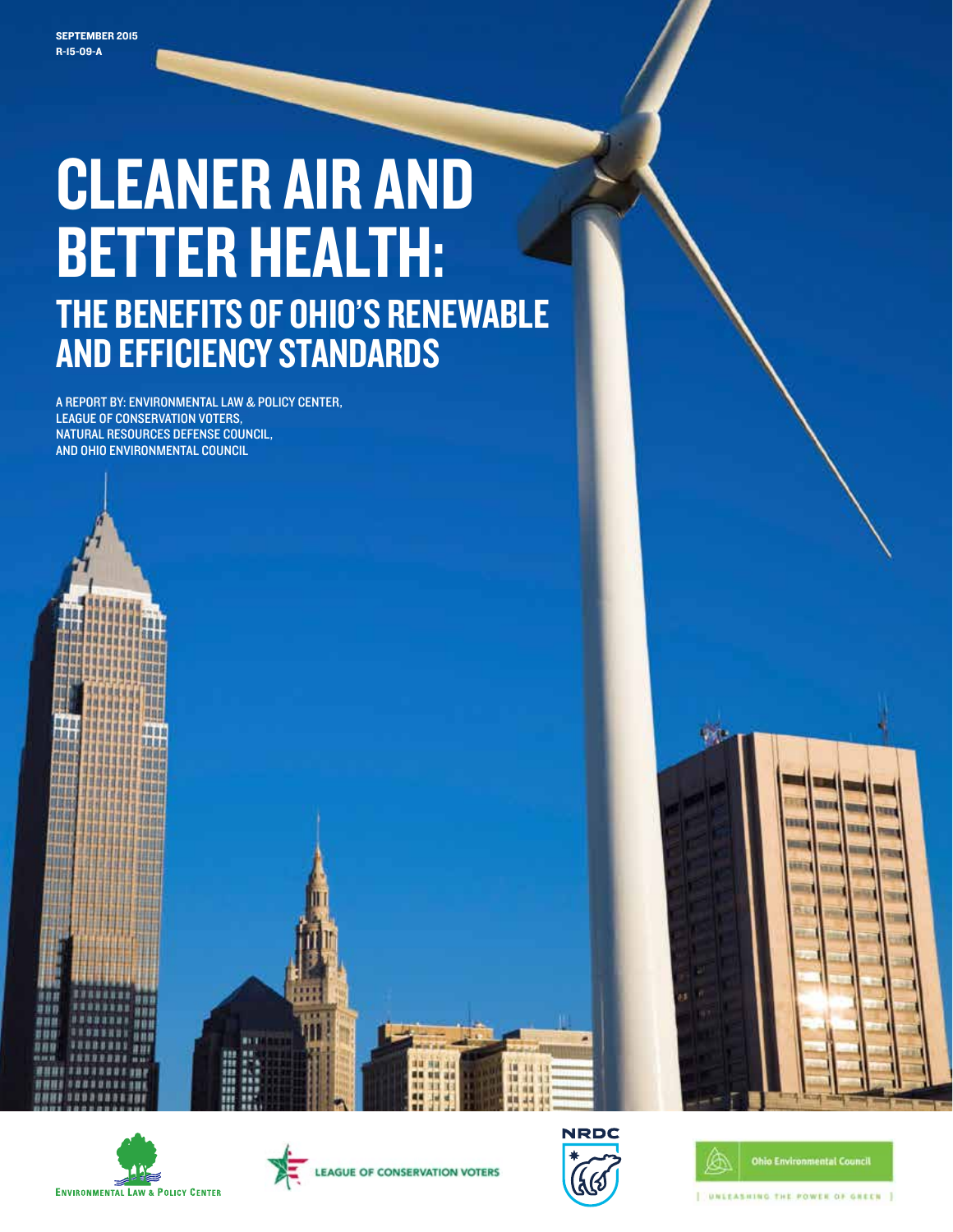# CLEANER AIR AND BETTER HEALTH: THE BENEFITS OF OHIO'S RENEWABLE<br>AND EFFICIENCY STANDARDS

A REPORT BY: ENVIRONMENTAL LAW & POLICY CENTER, LEAGUE OF CONSERVATION VOTERS, NATURAL RESOURCES DEFENSE COUNCIL, AND OHIO ENVIRONMENTAL COUNCIL

881

**IBBI** 

消防器

道理器机

108 ш

880

度联合

7111









т 唯且



**Vide** 

[ UNLEASHING THE POWER OF GREEN ]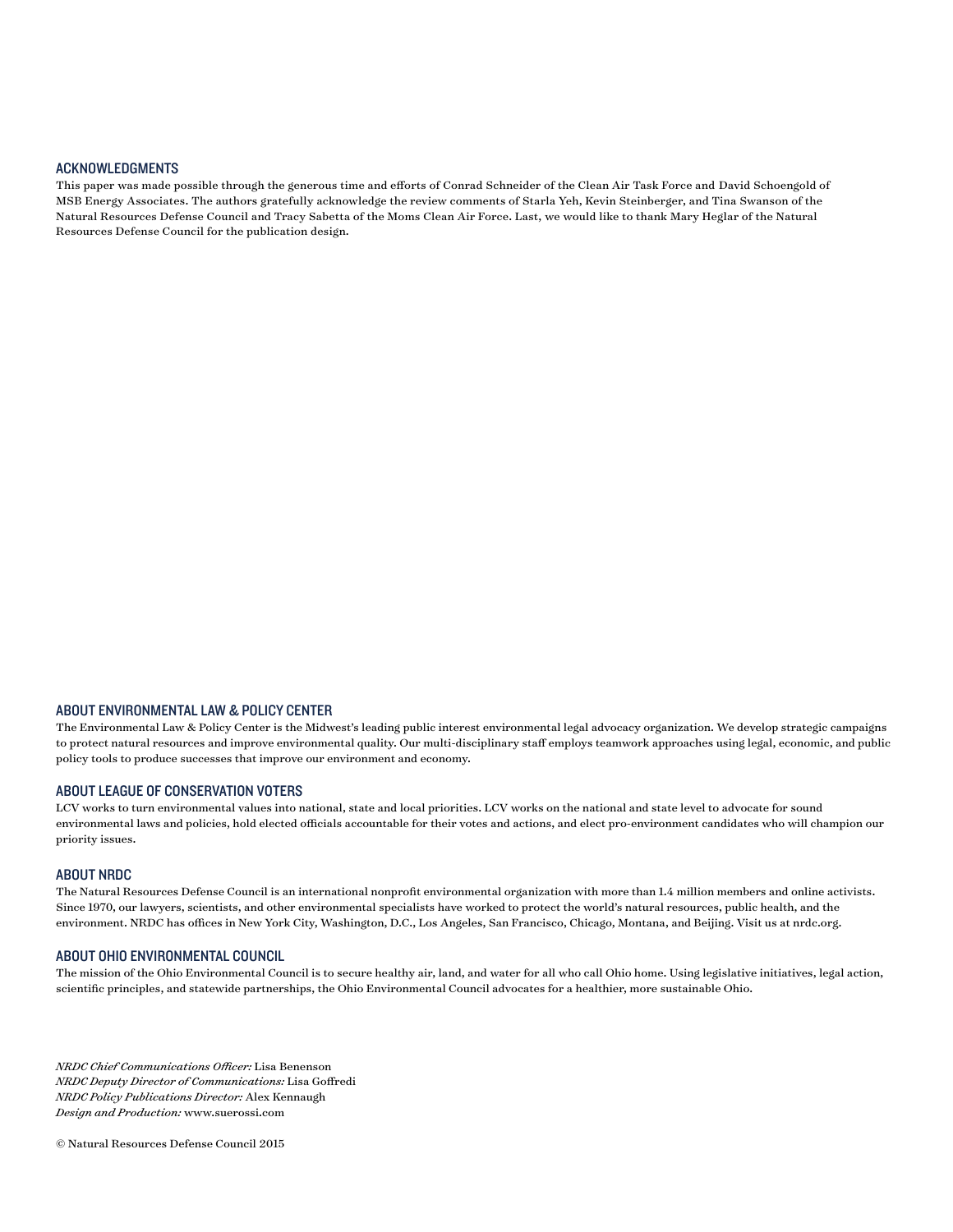### Acknowledgments

This paper was made possible through the generous time and efforts of Conrad Schneider of the Clean Air Task Force and David Schoengold of MSB Energy Associates. The authors gratefully acknowledge the review comments of Starla Yeh, Kevin Steinberger, and Tina Swanson of the Natural Resources Defense Council and Tracy Sabetta of the Moms Clean Air Force. Last, we would like to thank Mary Heglar of the Natural Resources Defense Council for the publication design.

#### About Environmental Law & Policy Center

The Environmental Law & Policy Center is the Midwest's leading public interest environmental legal advocacy organization. We develop strategic campaigns to protect natural resources and improve environmental quality. Our multi-disciplinary staff employs teamwork approaches using legal, economic, and public policy tools to produce successes that improve our environment and economy.

#### About League Of Conservation Voters

LCV works to turn environmental values into national, state and local priorities. LCV works on the national and state level to advocate for sound environmental laws and policies, hold elected officials accountable for their votes and actions, and elect pro-environment candidates who will champion our priority issues.

#### About NRDC

The Natural Resources Defense Council is an international nonprofit environmental organization with more than 1.4 million members and online activists. Since 1970, our lawyers, scientists, and other environmental specialists have worked to protect the world's natural resources, public health, and the environment. NRDC has offices in New York City, Washington, D.C., Los Angeles, San Francisco, Chicago, Montana, and Beijing. Visit us at nrdc.org.

#### About Ohio Environmental Council

The mission of the Ohio Environmental Council is to secure healthy air, land, and water for all who call Ohio home. Using legislative initiatives, legal action, scientific principles, and statewide partnerships, the Ohio Environmental Council advocates for a healthier, more sustainable Ohio.

*NRDC Chief Communications Officer:* Lisa Benenson *NRDC Deputy Director of Communications:* Lisa Goffredi *NRDC Policy Publications Director:* Alex Kennaugh *Design and Production:* www.suerossi.com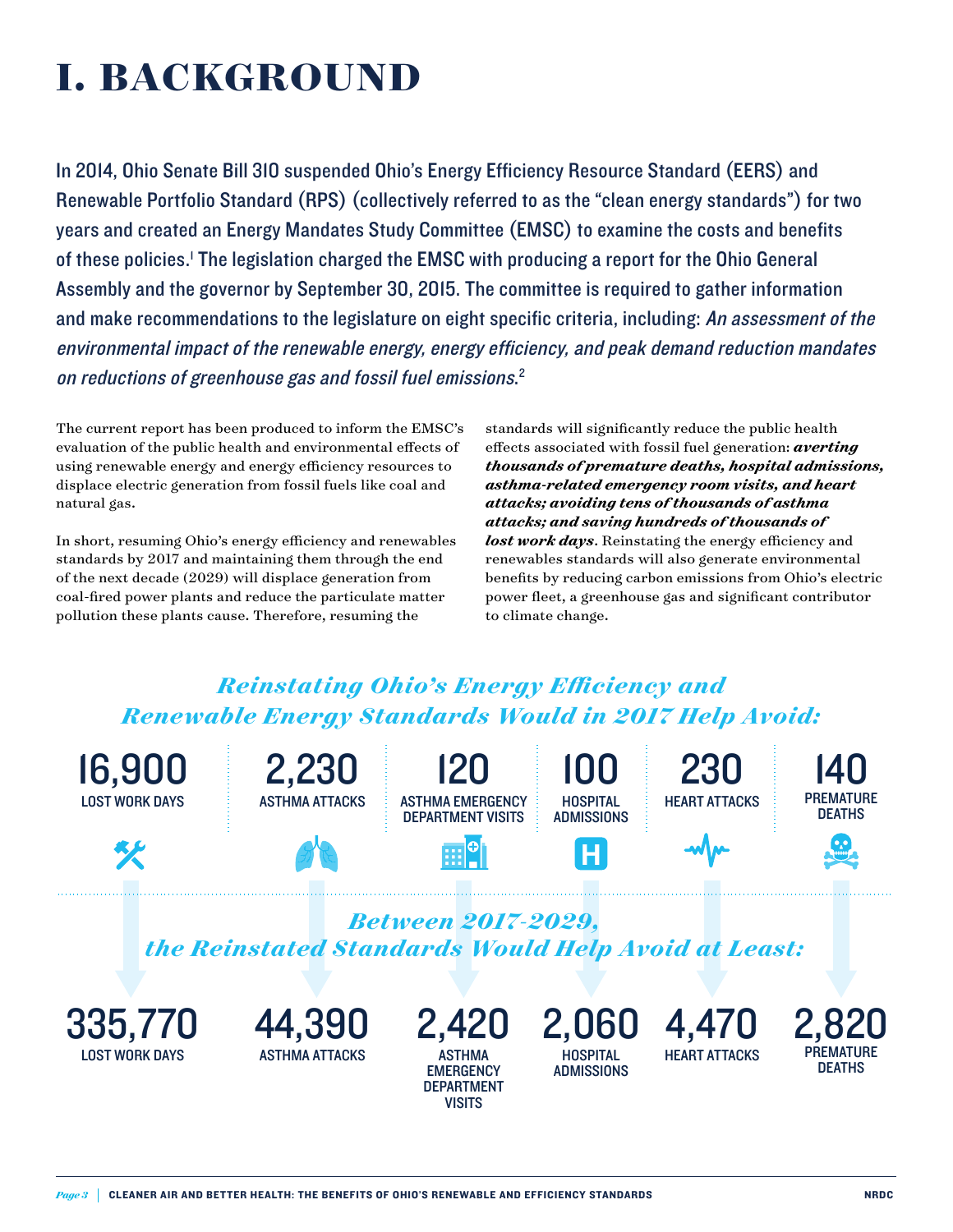## **I. BACKGROUND**

In 2014, Ohio Senate Bill 310 suspended Ohio's Energy Efficiency Resource Standard (EERS) and Renewable Portfolio Standard (RPS) (collectively referred to as the "clean energy standards") for two years and created an Energy Mandates Study Committee (EMSC) to examine the costs and benefits of these policies.<sup>1</sup> The legislation charged the EMSC with producing a report for the Ohio General Assembly and the governor by September 30, 2015. The committee is required to gather information and make recommendations to the legislature on eight specific criteria, including: An assessment of the environmental impact of the renewable energy, energy efficiency, and peak demand reduction mandates on reductions of greenhouse gas and fossil fuel emissions. 2

The current report has been produced to inform the EMSC's evaluation of the public health and environmental effects of using renewable energy and energy efficiency resources to displace electric generation from fossil fuels like coal and natural gas.

In short, resuming Ohio's energy efficiency and renewables standards by 2017 and maintaining them through the end of the next decade (2029) will displace generation from coal-fired power plants and reduce the particulate matter pollution these plants cause. Therefore, resuming the

standards will significantly reduce the public health effects associated with fossil fuel generation: *averting thousands of premature deaths, hospital admissions, asthma-related emergency room visits, and heart attacks; avoiding tens of thousands of asthma attacks; and saving hundreds of thousands of lost work days*. Reinstating the energy efficiency and renewables standards will also generate environmental benefits by reducing carbon emissions from Ohio's electric power fleet, a greenhouse gas and significant contributor to climate change.

### **Reinstating Ohio's Energy Efficiency and** *Renewable Energy Standards Would in 2017 Help Avoid:*

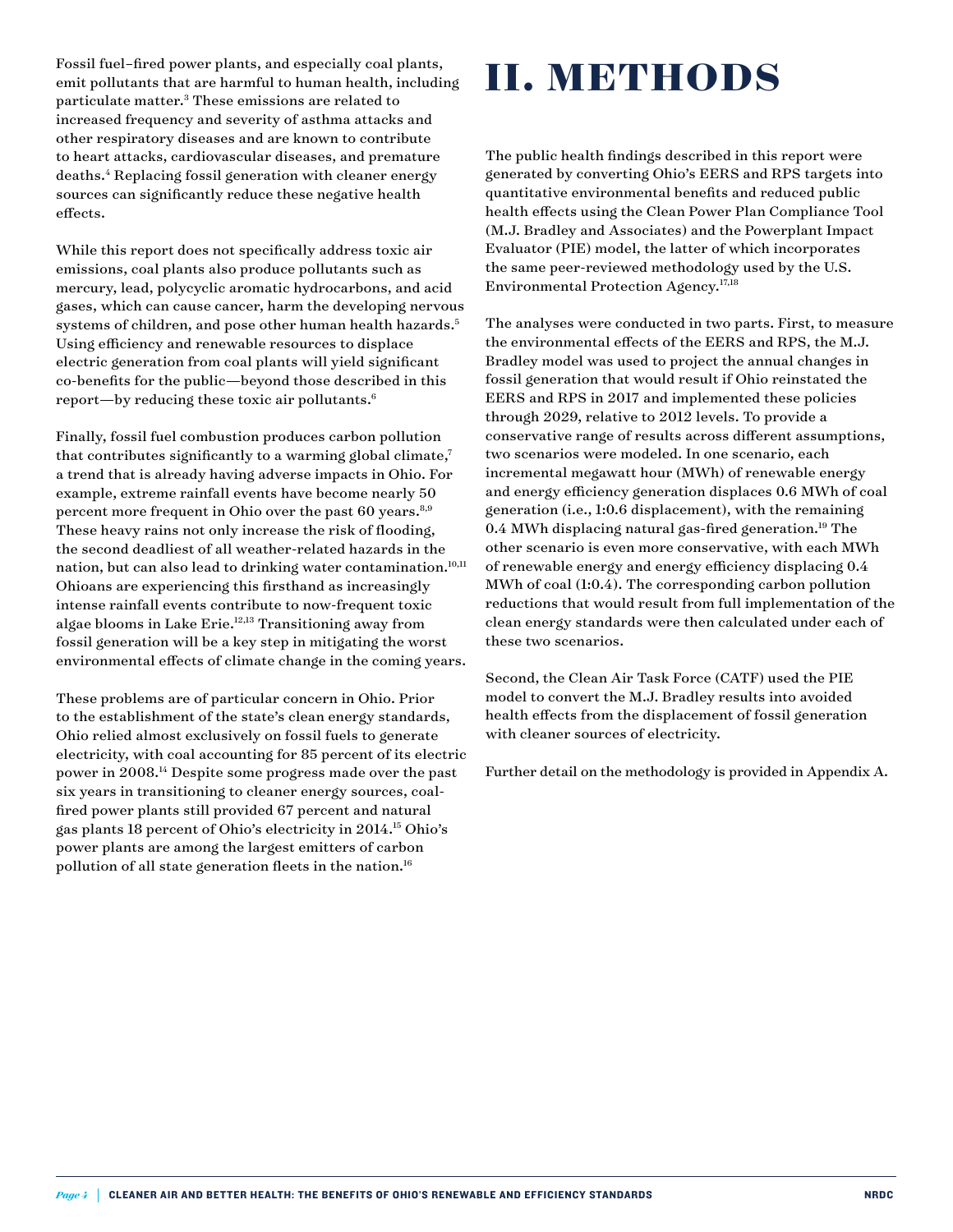Fossil fuel–fired power plants, and especially coal plants, emit pollutants that are harmful to human health, including particulate matter.3 These emissions are related to increased frequency and severity of asthma attacks and other respiratory diseases and are known to contribute to heart attacks, cardiovascular diseases, and premature deaths.4 Replacing fossil generation with cleaner energy sources can significantly reduce these negative health effects.

While this report does not specifically address toxic air emissions, coal plants also produce pollutants such as mercury, lead, polycyclic aromatic hydrocarbons, and acid gases, which can cause cancer, harm the developing nervous systems of children, and pose other human health hazards.<sup>5</sup> Using efficiency and renewable resources to displace electric generation from coal plants will yield significant co-benefits for the public—beyond those described in this report—by reducing these toxic air pollutants.6

Finally, fossil fuel combustion produces carbon pollution that contributes significantly to a warming global climate, $7$ a trend that is already having adverse impacts in Ohio. For example, extreme rainfall events have become nearly 50 percent more frequent in Ohio over the past 60 years.<sup>8,9</sup> These heavy rains not only increase the risk of flooding, the second deadliest of all weather-related hazards in the nation, but can also lead to drinking water contamination.<sup>10,11</sup> Ohioans are experiencing this firsthand as increasingly intense rainfall events contribute to now-frequent toxic algae blooms in Lake Erie.12,13 Transitioning away from fossil generation will be a key step in mitigating the worst environmental effects of climate change in the coming years.

These problems are of particular concern in Ohio. Prior to the establishment of the state's clean energy standards, Ohio relied almost exclusively on fossil fuels to generate electricity, with coal accounting for 85 percent of its electric power in 2008.14 Despite some progress made over the past six years in transitioning to cleaner energy sources, coalfired power plants still provided 67 percent and natural gas plants 18 percent of Ohio's electricity in 2014.15 Ohio's power plants are among the largest emitters of carbon pollution of all state generation fleets in the nation.<sup>16</sup>

# **II. METHODS**

The public health findings described in this report were generated by converting Ohio's EERS and RPS targets into quantitative environmental benefits and reduced public health effects using the Clean Power Plan Compliance Tool (M.J. Bradley and Associates) and the Powerplant Impact Evaluator (PIE) model, the latter of which incorporates the same peer-reviewed methodology used by the U.S. Environmental Protection Agency.<sup>17,18</sup>

The analyses were conducted in two parts. First, to measure the environmental effects of the EERS and RPS, the M.J. Bradley model was used to project the annual changes in fossil generation that would result if Ohio reinstated the EERS and RPS in 2017 and implemented these policies through 2029, relative to 2012 levels. To provide a conservative range of results across different assumptions, two scenarios were modeled. In one scenario, each incremental megawatt hour (MWh) of renewable energy and energy efficiency generation displaces 0.6 MWh of coal generation (i.e., 1:0.6 displacement), with the remaining  $0.4$  MWh displacing natural gas-fired generation.<sup>19</sup> The other scenario is even more conservative, with each MWh of renewable energy and energy efficiency displacing 0.4 MWh of coal (1:0.4). The corresponding carbon pollution reductions that would result from full implementation of the clean energy standards were then calculated under each of these two scenarios.

Second, the Clean Air Task Force (CATF) used the PIE model to convert the M.J. Bradley results into avoided health effects from the displacement of fossil generation with cleaner sources of electricity.

Further detail on the methodology is provided in Appendix A.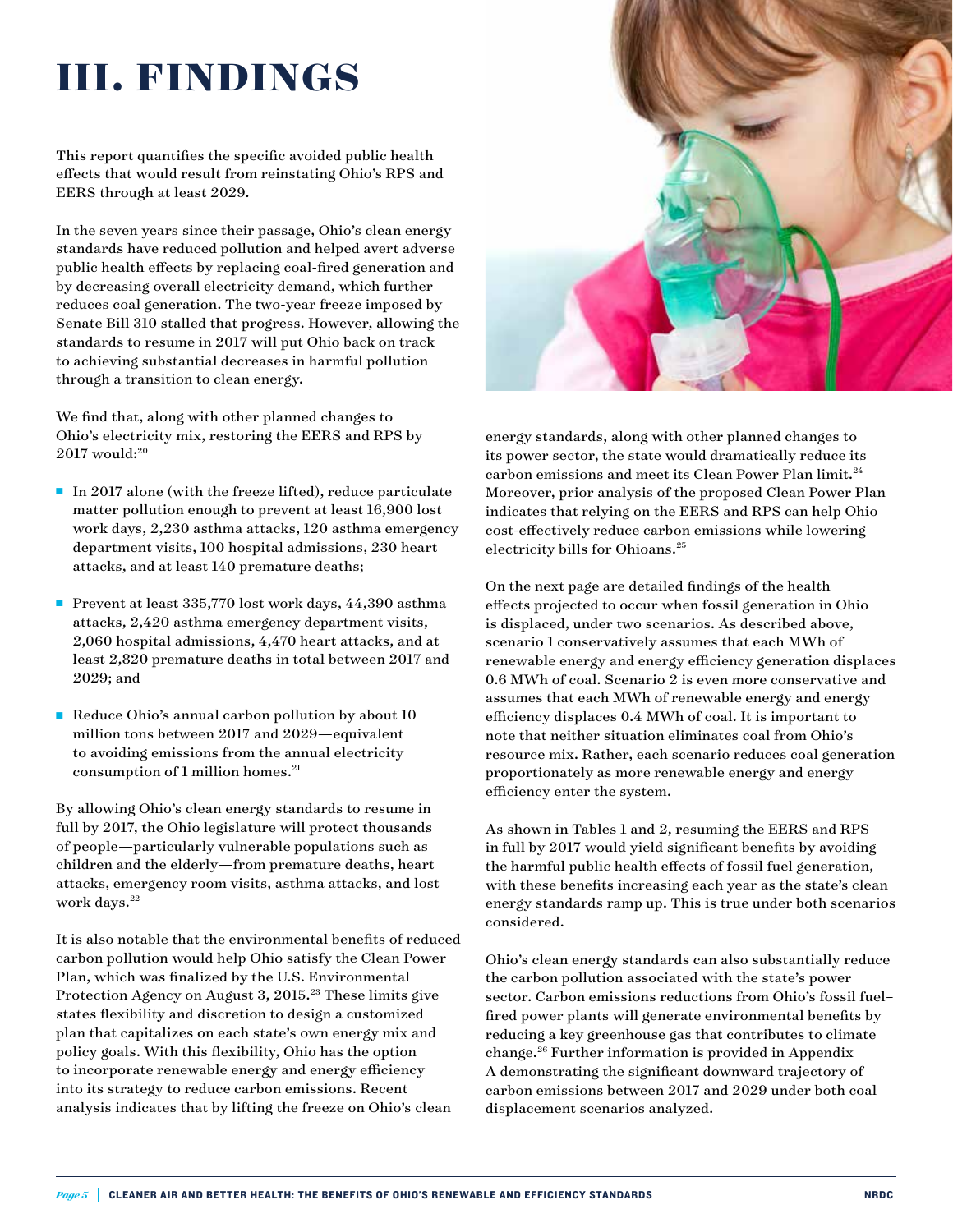### **III. FINDINGS**

This report quantifies the specific avoided public health effects that would result from reinstating Ohio's RPS and EERS through at least 2029.

In the seven years since their passage, Ohio's clean energy standards have reduced pollution and helped avert adverse public health effects by replacing coal-fired generation and by decreasing overall electricity demand, which further reduces coal generation. The two-year freeze imposed by Senate Bill 310 stalled that progress. However, allowing the standards to resume in 2017 will put Ohio back on track to achieving substantial decreases in harmful pollution through a transition to clean energy.

We find that, along with other planned changes to Ohio's electricity mix, restoring the EERS and RPS by  $2017$  would: $20$ 

- In 2017 alone (with the freeze lifted), reduce particulate matter pollution enough to prevent at least 16,900 lost work days, 2,230 asthma attacks, 120 asthma emergency department visits, 100 hospital admissions, 230 heart attacks, and at least 140 premature deaths;
- n Prevent at least 335,770 lost work days, 44,390 asthma attacks, 2,420 asthma emergency department visits, 2,060 hospital admissions, 4,470 heart attacks, and at least 2,820 premature deaths in total between 2017 and 2029; and
- Reduce Ohio's annual carbon pollution by about  $10$ million tons between 2017 and 2029—equivalent to avoiding emissions from the annual electricity consumption of 1 million homes.<sup>21</sup>

By allowing Ohio's clean energy standards to resume in full by 2017, the Ohio legislature will protect thousands of people—particularly vulnerable populations such as children and the elderly—from premature deaths, heart attacks, emergency room visits, asthma attacks, and lost work days.<sup>22</sup>

It is also notable that the environmental benefits of reduced carbon pollution would help Ohio satisfy the Clean Power Plan, which was finalized by the U.S. Environmental Protection Agency on August 3, 2015.<sup>23</sup> These limits give states flexibility and discretion to design a customized plan that capitalizes on each state's own energy mix and policy goals. With this flexibility, Ohio has the option to incorporate renewable energy and energy efficiency into its strategy to reduce carbon emissions. Recent analysis indicates that by lifting the freeze on Ohio's clean



energy standards, along with other planned changes to its power sector, the state would dramatically reduce its carbon emissions and meet its Clean Power Plan limit.<sup>24</sup> Moreover, prior analysis of the proposed Clean Power Plan indicates that relying on the EERS and RPS can help Ohio cost-effectively reduce carbon emissions while lowering electricity bills for Ohioans.<sup>25</sup>

On the next page are detailed findings of the health effects projected to occur when fossil generation in Ohio is displaced, under two scenarios. As described above, scenario 1 conservatively assumes that each MWh of renewable energy and energy efficiency generation displaces 0.6 MWh of coal. Scenario 2 is even more conservative and assumes that each MWh of renewable energy and energy efficiency displaces 0.4 MWh of coal. It is important to note that neither situation eliminates coal from Ohio's resource mix. Rather, each scenario reduces coal generation proportionately as more renewable energy and energy efficiency enter the system.

As shown in Tables 1 and 2, resuming the EERS and RPS in full by 2017 would yield significant benefits by avoiding the harmful public health effects of fossil fuel generation, with these benefits increasing each year as the state's clean energy standards ramp up. This is true under both scenarios considered.

Ohio's clean energy standards can also substantially reduce the carbon pollution associated with the state's power sector. Carbon emissions reductions from Ohio's fossil fuel– fired power plants will generate environmental benefits by reducing a key greenhouse gas that contributes to climate change.26 Further information is provided in Appendix A demonstrating the significant downward trajectory of carbon emissions between 2017 and 2029 under both coal displacement scenarios analyzed.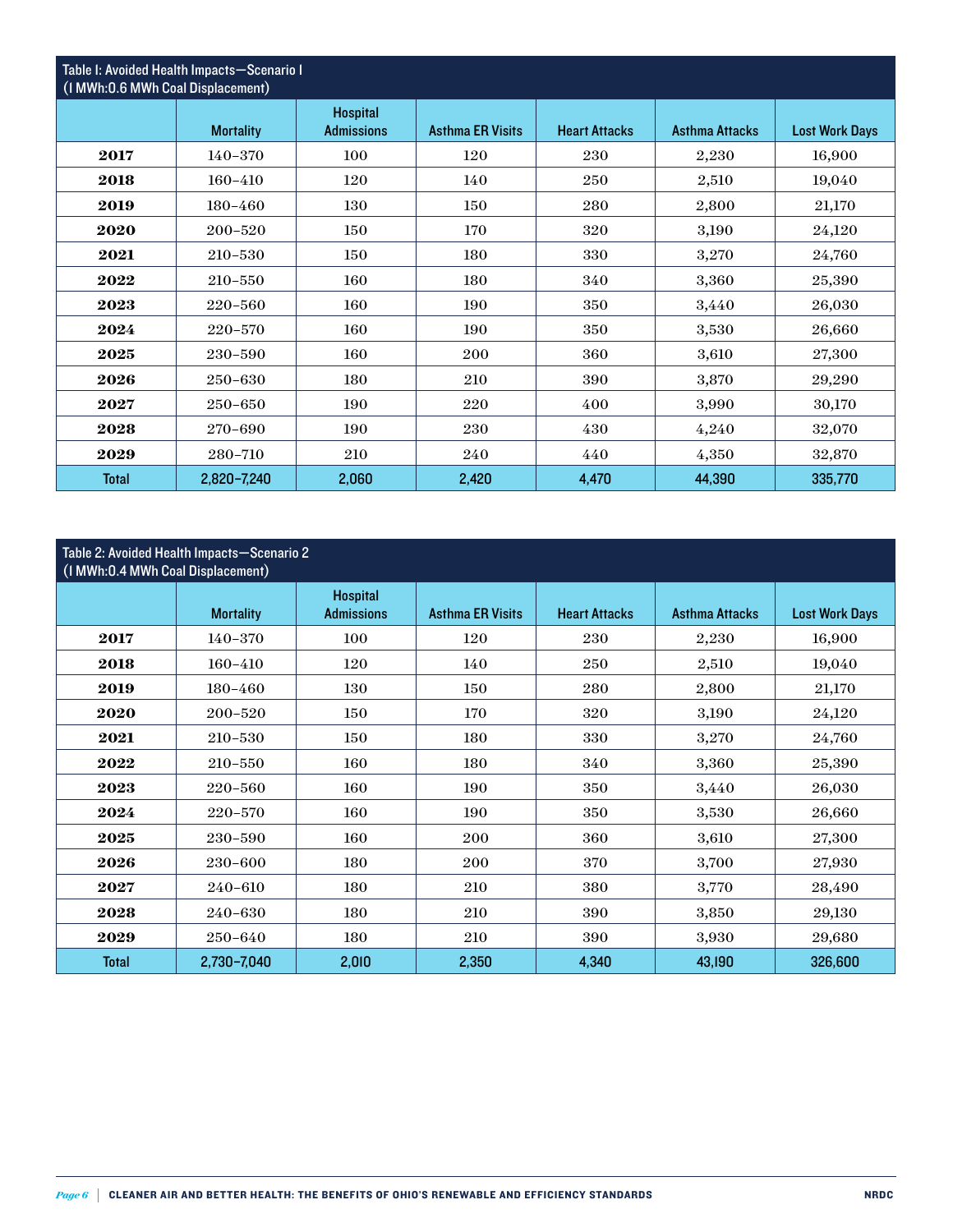| Table I: Avoided Health Impacts-Scenario I<br>(I MWh: 0.6 MWh Coal Displacement) |                  |                                      |                         |                      |                       |                       |  |  |  |  |
|----------------------------------------------------------------------------------|------------------|--------------------------------------|-------------------------|----------------------|-----------------------|-----------------------|--|--|--|--|
|                                                                                  | <b>Mortality</b> | <b>Hospital</b><br><b>Admissions</b> | <b>Asthma ER Visits</b> | <b>Heart Attacks</b> | <b>Asthma Attacks</b> | <b>Lost Work Days</b> |  |  |  |  |
| 2017                                                                             | 140-370          | 100                                  | 120                     | 230                  | 2,230                 | 16,900                |  |  |  |  |
| 2018                                                                             | 160-410          | 120                                  | 140                     | 250                  | 2,510                 | 19,040                |  |  |  |  |
| 2019                                                                             | $180 - 460$      | 130                                  | 150                     | 280                  | 2,800                 | 21,170                |  |  |  |  |
| 2020                                                                             | 200-520          | 150                                  | 170                     | 320                  | 3,190                 | 24,120                |  |  |  |  |
| 2021                                                                             | 210-530          | 150                                  | 180                     | 330                  | 3,270                 | 24,760                |  |  |  |  |
| 2022                                                                             | $210 - 550$      | 160                                  | 180                     | 340                  | 3,360                 | 25,390                |  |  |  |  |
| 2023                                                                             | 220-560          | 160                                  | 190                     | 350                  | 3,440                 | 26,030                |  |  |  |  |
| 2024                                                                             | 220-570          | 160                                  | 190                     | 350                  | 3,530                 | 26,660                |  |  |  |  |
| 2025                                                                             | 230-590          | 160                                  | 200                     | 360                  | 3,610                 | 27,300                |  |  |  |  |
| 2026                                                                             | 250-630          | 180                                  | 210                     | 390                  | 3,870                 | 29,290                |  |  |  |  |
| 2027                                                                             | 250-650          | 190                                  | 220                     | 400                  | 3,990                 | 30,170                |  |  |  |  |
| 2028                                                                             | 270-690          | 190                                  | 230                     | 430                  | 4,240                 | 32,070                |  |  |  |  |
| 2029                                                                             | 280-710          | 210                                  | 240                     | 440                  | 4,350                 | 32,870                |  |  |  |  |
| <b>Total</b>                                                                     | 2,820-7,240      | 2,060                                | 2,420                   | 4,470                | 44,390                | 335,770               |  |  |  |  |

### Table 2: Avoided Health Impacts—Scenario 2

| (I MWh:0.4 MWh Coal Displacement) |                  |                                      |                         |                      |                       |                       |  |  |  |  |
|-----------------------------------|------------------|--------------------------------------|-------------------------|----------------------|-----------------------|-----------------------|--|--|--|--|
|                                   | <b>Mortality</b> | <b>Hospital</b><br><b>Admissions</b> | <b>Asthma ER Visits</b> | <b>Heart Attacks</b> | <b>Asthma Attacks</b> | <b>Lost Work Days</b> |  |  |  |  |
| 2017                              | 140-370          | 100                                  | 120                     | 230                  | 2,230                 | 16,900                |  |  |  |  |
| 2018                              | 160-410          | 120                                  | 140                     | 250                  | 2,510                 | 19,040                |  |  |  |  |
| 2019                              | 180-460          | 130                                  | 150                     | 280                  | 2,800                 | 21,170                |  |  |  |  |
| 2020                              | 200-520          | 150                                  | 170                     | 320                  | 3,190                 | 24,120                |  |  |  |  |
| 2021                              | 210-530          | 150                                  | 180                     | 330                  | 3,270                 | 24,760                |  |  |  |  |
| 2022                              | $210 - 550$      | 160                                  | 180                     | 340                  | 3,360                 | 25,390                |  |  |  |  |
| 2023                              | 220-560          | 160                                  | 190                     | 350                  | 3,440                 | 26,030                |  |  |  |  |
| 2024                              | 220-570          | 160                                  | 190                     | 350                  | 3,530                 | 26,660                |  |  |  |  |
| 2025                              | 230-590          | 160                                  | 200                     | 360                  | 3,610                 | 27,300                |  |  |  |  |
| 2026                              | 230-600          | 180                                  | 200                     | 370                  | 3,700                 | 27,930                |  |  |  |  |
| 2027                              | 240-610          | 180                                  | 210                     | 380                  | 3,770                 | 28,490                |  |  |  |  |
| 2028                              | 240-630          | 180                                  | 210                     | 390                  | 3,850                 | 29,130                |  |  |  |  |
| 2029                              | 250-640          | 180                                  | 210                     | 390                  | 3,930                 | 29,680                |  |  |  |  |
| <b>Total</b>                      | 2,730-7,040      | 2,010                                | 2,350                   | 4,340                | 43,190                | 326,600               |  |  |  |  |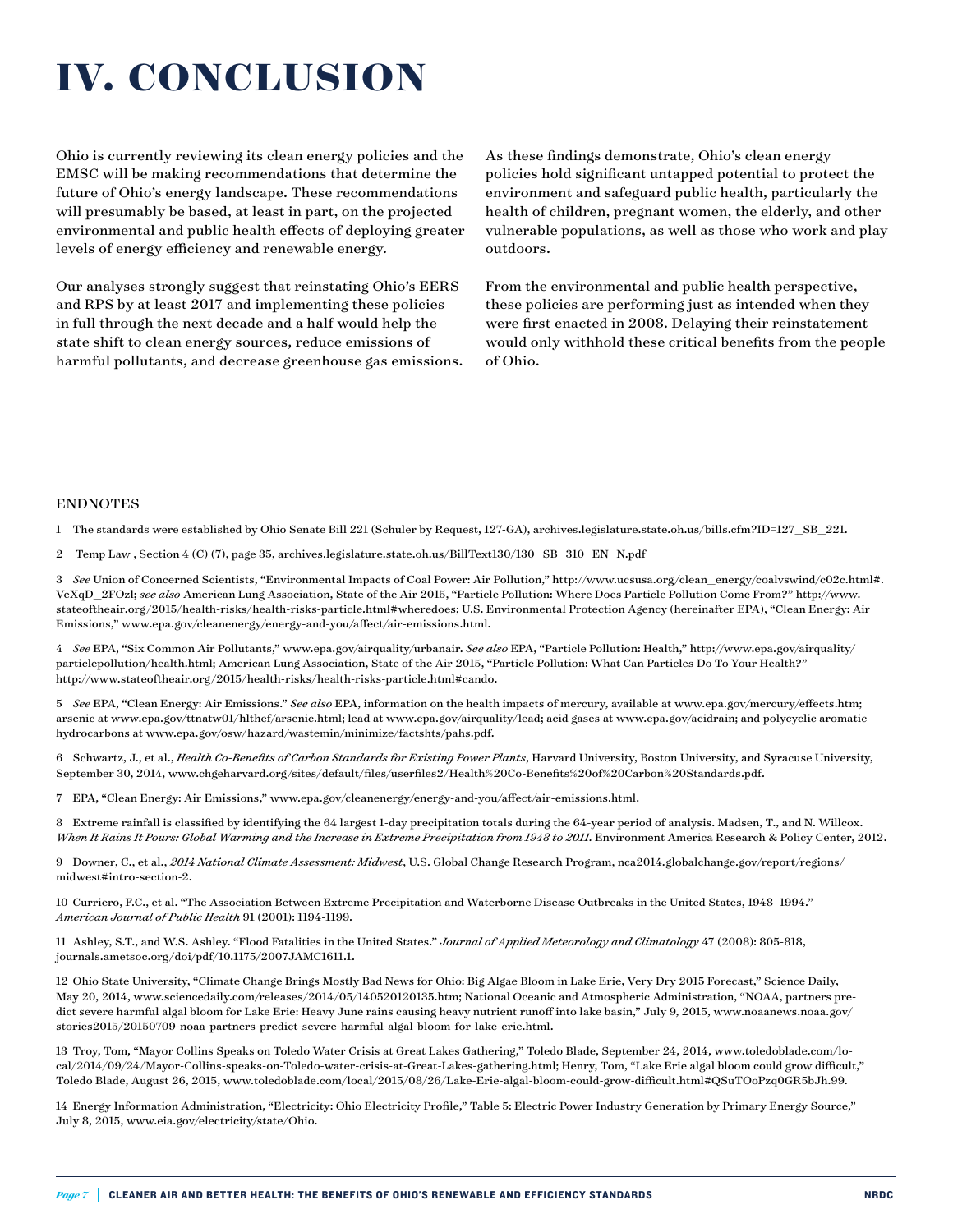# **IV. CONCLUSION**

Ohio is currently reviewing its clean energy policies and the EMSC will be making recommendations that determine the future of Ohio's energy landscape. These recommendations will presumably be based, at least in part, on the projected environmental and public health effects of deploying greater levels of energy efficiency and renewable energy.

Our analyses strongly suggest that reinstating Ohio's EERS and RPS by at least 2017 and implementing these policies in full through the next decade and a half would help the state shift to clean energy sources, reduce emissions of harmful pollutants, and decrease greenhouse gas emissions. As these findings demonstrate, Ohio's clean energy policies hold significant untapped potential to protect the environment and safeguard public health, particularly the health of children, pregnant women, the elderly, and other vulnerable populations, as well as those who work and play outdoors.

From the environmental and public health perspective, these policies are performing just as intended when they were first enacted in 2008. Delaying their reinstatement would only withhold these critical benefits from the people of Ohio.

### **ENDNOTES**

1 The standards were established by Ohio Senate Bill 221 (Schuler by Request, 127-GA), archives.legislature.state.oh.us/bills.cfm?ID=127\_SB\_221.

2 Temp Law , Section 4 (C) (7), page 35, archives.legislature.state.oh.us/BillText130/130\_SB\_310\_EN\_N.pdf

3 *See* Union of Concerned Scientists, "Environmental Impacts of Coal Power: Air Pollution," [http://www.ucsusa.org/clean\\_energy/coalvswind/c02c.html#.](http://www.ucsusa.org/clean_energy/coalvswind/c02c.html#.VeXqD_2FOzl) [VeXqD\\_2FOzl](http://www.ucsusa.org/clean_energy/coalvswind/c02c.html#.VeXqD_2FOzl); *see also* American Lung Association, State of the Air 2015, "Particle Pollution: Where Does Particle Pollution Come From?" [http://www.](http://www.stateoftheair.org/2015/health-risks/health-risks-particle.html#wheredoes) [stateoftheair.org/2015/health-risks/health-risks-particle.html#wheredoes](http://www.stateoftheair.org/2015/health-risks/health-risks-particle.html#wheredoes); U.S. Environmental Protection Agency (hereinafter EPA), "Clean Energy: Air Emissions," [www.epa.gov/cleanenergy/energy-and-you/affect/air-emissions.html](http://www.epa.gov/cleanenergy/energy-and-you/affect/air-emissions.html).

4 *See* EPA, "Six Common Air Pollutants," [www.epa.gov/airquality/urbanair.](http://www.epa.gov/airquality/urbanair) *See also* EPA, "Particle Pollution: Health," http://www.epa.gov/airquality/ particlepollution/health.html; American Lung Association, State of the Air 2015, "Particle Pollution: What Can Particles Do To Your Health?" http://www.stateoftheair.org/2015/health-risks/health-risks-particle.html#cando.

5 *See* EPA, "Clean Energy: Air Emissions." *See also* EPA, information on the health impacts of mercury, available at www.epa.gov/mercury/effects.htm; arsenic at www.epa.gov/ttnatw01/hlthef/arsenic.html; lead at www.epa.gov/airquality/lead; acid gases at www.epa.gov/acidrain; and polycyclic aromatic hydrocarbons at www.epa.gov/osw/hazard/wastemin/minimize/factshts/pahs.pdf.

6 Schwartz, J., et al., *Health Co-Benefits of Carbon Standards for Existing Power Plants*, Harvard University, Boston University, and Syracuse University, September 30, 2014, www.chgeharvard.org/sites/default/files/userfiles2/Health%20Co-Benefits%20of%20Carbon%20Standards.pdf.

7 EPA, "Clean Energy: Air Emissions," [www.epa.gov/cleanenergy/energy-and-you/affect/air-emissions.html.](http://www.epa.gov/cleanenergy/energy-and-you/affect/air-emissions.html)

8 Extreme rainfall is classified by identifying the 64 largest 1-day precipitation totals during the 64-year period of analysis. Madsen, T., and N. Willcox. When It Rains It Pours: Global Warming and the Increase in Extreme Precipitation from 1948 to 2011. Environment America Research & Policy Center, 2012.

9 Downer, C., et al., *2014 National Climate Assessment: Midwest*, U.S. Global Change Research Program, nca2014.globalchange.gov/report/regions/ midwest#intro-section-2.

10 Curriero, F.C., et al. "The Association Between Extreme Precipitation and Waterborne Disease Outbreaks in the United States, 1948–1994." *American Journal of Public Health* 91 (2001): 1194-1199.

11 Ashley, S.T., and W.S. Ashley. "Flood Fatalities in the United States." *Journal of Applied Meteorology and Climatology* 47 (2008): 805-818, journals.ametsoc.org/doi/pdf/10.1175/2007JAMC1611.1.

12 Ohio State University, "Climate Change Brings Mostly Bad News for Ohio: Big Algae Bloom in Lake Erie, Very Dry 2015 Forecast," Science Daily, May 20, 2014, [www.sciencedaily.com/releases/2014/05/140520120135.htm;](http://www.sciencedaily.com/releases/2014/05/140520120135.htm) National Oceanic and Atmospheric Administration, "NOAA, partners predict severe harmful algal bloom for Lake Erie: Heavy June rains causing heavy nutrient runoff into lake basin," July 9, 2015, [www.noaanews.noaa.gov/](http://www.noaanews.noaa.gov/stories2015/20150709-noaa-partners-predict-severe-harmful-algal-bloom-for-lake-erie.html) [stories2015/20150709-noaa-partners-predict-severe-harmful-algal-bloom-for-lake-erie.html.](http://www.noaanews.noaa.gov/stories2015/20150709-noaa-partners-predict-severe-harmful-algal-bloom-for-lake-erie.html)

13 Troy, Tom, "Mayor Collins Speaks on Toledo Water Crisis at Great Lakes Gathering," Toledo Blade, September 24, 2014, www.toledoblade.com/local/2014/09/24/Mayor-Collins-speaks-on-Toledo-water-crisis-at-Great-Lakes-gathering.html; Henry, Tom, "Lake Erie algal bloom could grow difficult," Toledo Blade, August 26, 2015, www.toledoblade.com/local/2015/08/26/Lake-Erie-algal-bloom-could-grow-difficult.html#QSuTOoPzq0GR5bJh.99.

14 Energy Information Administration, "Electricity: Ohio Electricity Profile," Table 5: Electric Power Industry Generation by Primary Energy Source," July 8, 2015, www.eia.gov/electricity/state/Ohio.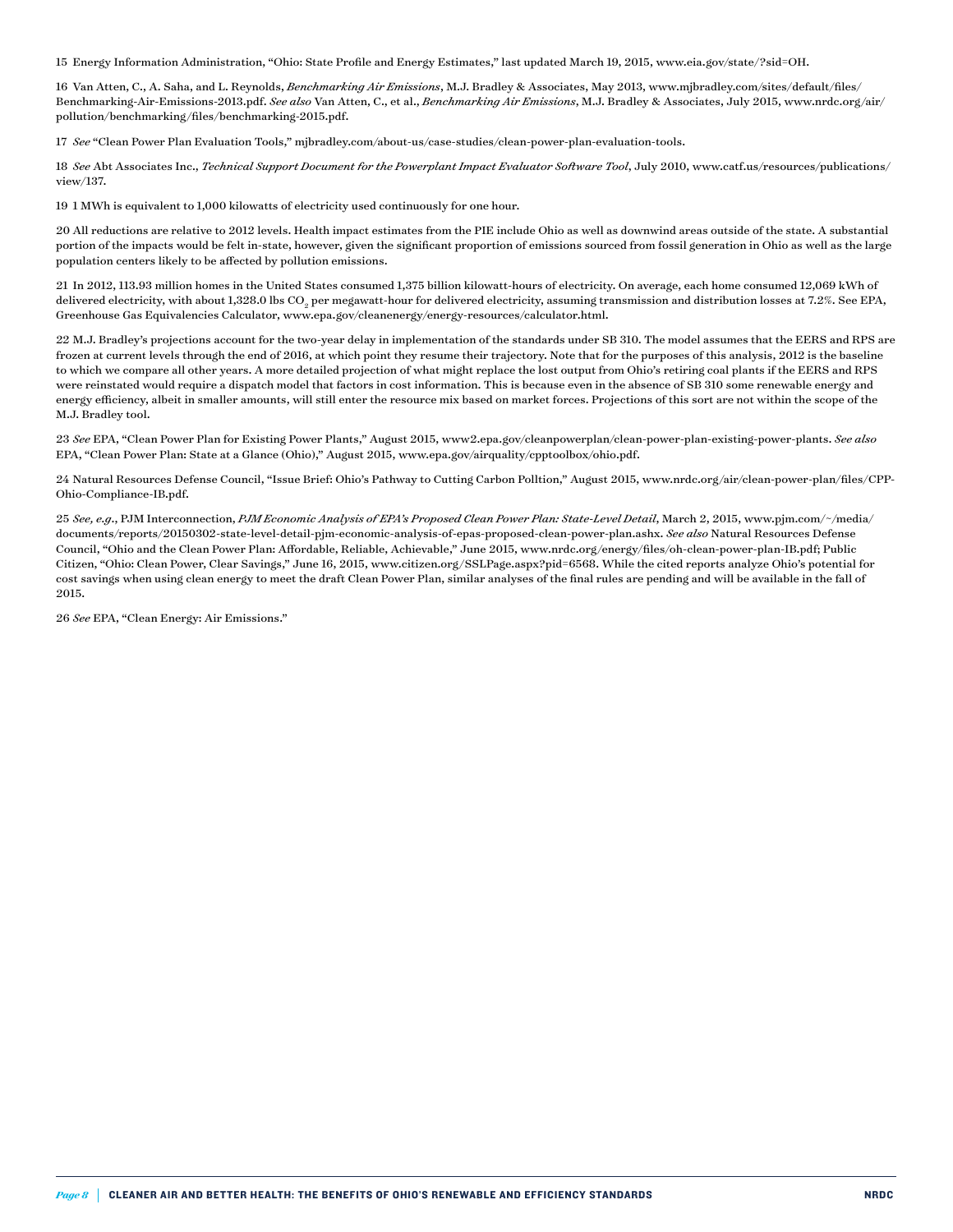15 Energy Information Administration, "Ohio: State Profile and Energy Estimates," last updated March 19, 2015, www.eia.gov/state/?sid=OH.

16 Van Atten, C., A. Saha, and L. Reynolds, *Benchmarking Air Emissions*, M.J. Bradley & Associates, May 2013, [www.mjbradley.com/sites/default/files/](http://www.mjbradley.com/sites/default/files/Benchmarking-Air-Emissions-2013.pdf) [Benchmarking-Air-Emissions-2013.pdf](http://www.mjbradley.com/sites/default/files/Benchmarking-Air-Emissions-2013.pdf). *See also* Van Atten, C., et al., *Benchmarking Air Emissions*, M.J. Bradley & Associates, July 2015, www.nrdc.org/air/ pollution/benchmarking/files/benchmarking-2015.pdf.

17 *See* "Clean Power Plan Evaluation Tools," mjbradley.com/about-us/case-studies/clean-power-plan-evaluation-tools.

18 *See* Abt Associates Inc., *Technical Support Document for the Powerplant Impact Evaluator Software Tool*, July 2010, [www.catf.us/resources/publications/](http://www.catf.us/resources/publications/view/137) [view/137](http://www.catf.us/resources/publications/view/137).

19 1 MWh is equivalent to 1,000 kilowatts of electricity used continuously for one hour.

20 All reductions are relative to 2012 levels. Health impact estimates from the PIE include Ohio as well as downwind areas outside of the state. A substantial portion of the impacts would be felt in-state, however, given the significant proportion of emissions sourced from fossil generation in Ohio as well as the large population centers likely to be affected by pollution emissions.

21 In 2012, 113.93 million homes in the United States consumed 1,375 billion kilowatt-hours of electricity. On average, each home consumed 12,069 kWh of delivered electricity, with about 1,328.0 lbs CO<sub>2</sub> per megawatt-hour for delivered electricity, assuming transmission and distribution losses at 7.2%. See EPA, Greenhouse Gas Equivalencies Calculator, [www.epa.gov/cleanenergy/energy-resources/calculator.html](http://www.epa.gov/cleanenergy/energy-resources/calculator.html).

22 M.J. Bradley's projections account for the two-year delay in implementation of the standards under SB 310. The model assumes that the EERS and RPS are frozen at current levels through the end of 2016, at which point they resume their trajectory. Note that for the purposes of this analysis, 2012 is the baseline to which we compare all other years. A more detailed projection of what might replace the lost output from Ohio's retiring coal plants if the EERS and RPS were reinstated would require a dispatch model that factors in cost information. This is because even in the absence of SB 310 some renewable energy and energy efficiency, albeit in smaller amounts, will still enter the resource mix based on market forces. Projections of this sort are not within the scope of the M.J. Bradley tool.

23 *See* EPA, "Clean Power Plan for Existing Power Plants," August 2015, www2.epa.gov/cleanpowerplan/clean-power-plan-existing-power-plants. *See also* EPA, "Clean Power Plan: State at a Glance (Ohio)," August 2015, www.epa.gov/airquality/cpptoolbox/ohio.pdf.

24 Natural Resources Defense Council, "Issue Brief: Ohio's Pathway to Cutting Carbon Polltion," August 2015, www.nrdc.org/air/clean-power-plan/files/CPP-Ohio-Compliance-IB.pdf.

25 *See, e.g*., PJM Interconnection, *PJM Economic Analysis of EPA's Proposed Clean Power Plan: State-Level Detail*, March 2, 2015, [www.pjm.com/~/media/](http://www.pjm.com/~/media/documents/reports/20150302-state-level-detail-pjm-economic-analysis-of-epas-proposed-clean-power-plan.ashx) [documents/reports/20150302-state-level-detail-pjm-economic-analysis-of-epas-proposed-clean-power-plan.ashx](http://www.pjm.com/~/media/documents/reports/20150302-state-level-detail-pjm-economic-analysis-of-epas-proposed-clean-power-plan.ashx). *See also* Natural Resources Defense Council, "Ohio and the Clean Power Plan: Affordable, Reliable, Achievable," June 2015, [www.nrdc.org/energy/files/oh-clean-power-plan-IB.pdf](http://www.nrdc.org/energy/files/oh-clean-power-plan-IB.pdf); Public Citizen, "Ohio: Clean Power, Clear Savings," June 16, 2015, [www.citizen.org/SSLPage.aspx?pid=6568.](http://www.citizen.org/SSLPage.aspx?pid=6568) While the cited reports analyze Ohio's potential for cost savings when using clean energy to meet the draft Clean Power Plan, similar analyses of the final rules are pending and will be available in the fall of 2015.

26 *See* EPA, "Clean Energy: Air Emissions."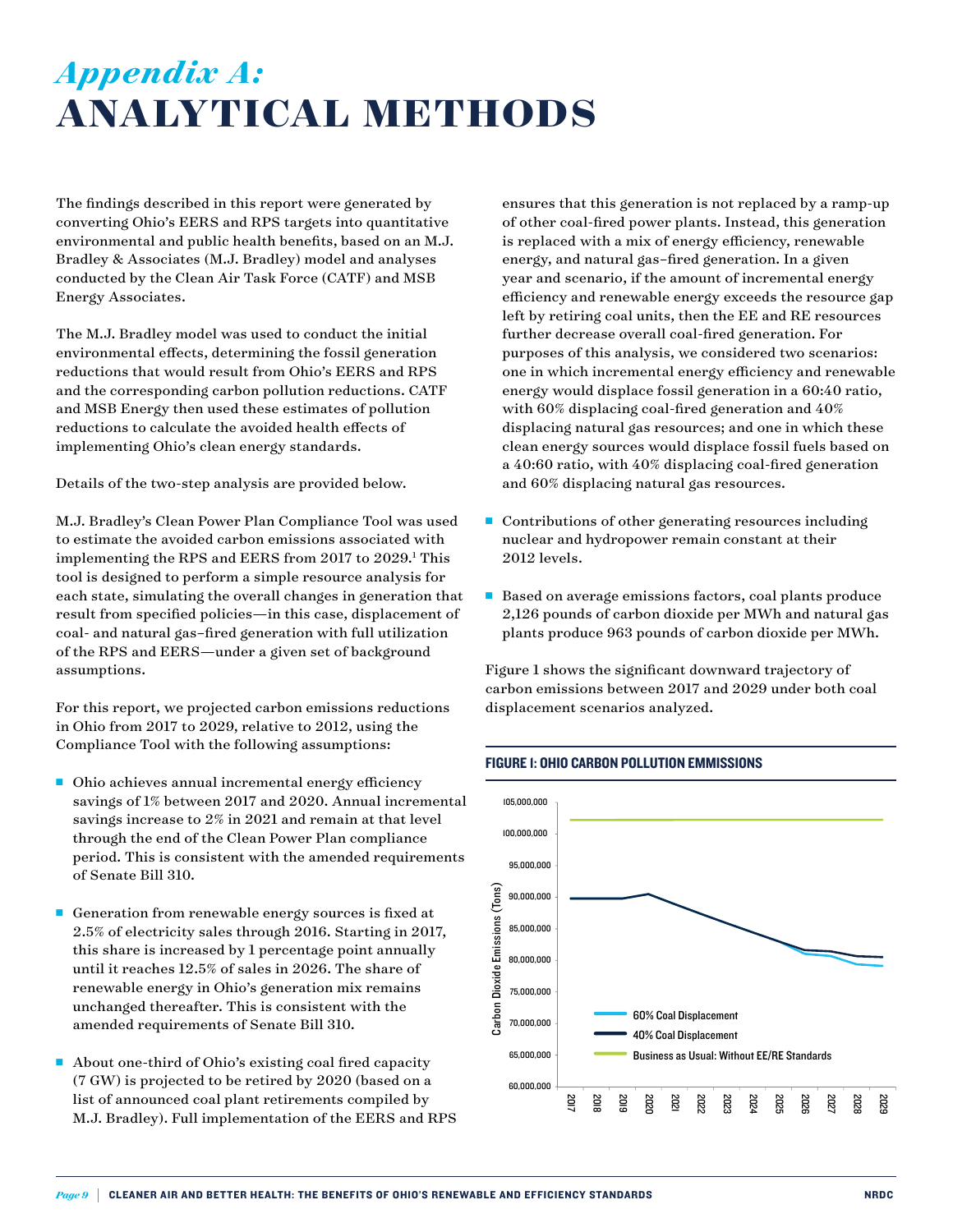### *Appendix A:* **ANALYTICAL METHODS**

The findings described in this report were generated by converting Ohio's EERS and RPS targets into quantitative environmental and public health benefits, based on an M.J. Bradley & Associates (M.J. Bradley) model and analyses conducted by the Clean Air Task Force (CATF) and MSB Energy Associates.

The M.J. Bradley model was used to conduct the initial environmental effects, determining the fossil generation reductions that would result from Ohio's EERS and RPS and the corresponding carbon pollution reductions. CATF and MSB Energy then used these estimates of pollution reductions to calculate the avoided health effects of implementing Ohio's clean energy standards.

Details of the two-step analysis are provided below.

M.J. Bradley's Clean Power Plan Compliance Tool was used to estimate the avoided carbon emissions associated with implementing the RPS and EERS from 2017 to 2029.<sup>1</sup> This tool is designed to perform a simple resource analysis for each state, simulating the overall changes in generation that result from specified policies—in this case, displacement of coal- and natural gas–fired generation with full utilization of the RPS and EERS—under a given set of background assumptions.

For this report, we projected carbon emissions reductions in Ohio from 2017 to 2029, relative to 2012, using the Compliance Tool with the following assumptions:

- $\blacksquare$  Ohio achieves annual incremental energy efficiency savings of 1% between 2017 and 2020. Annual incremental savings increase to 2% in 2021 and remain at that level through the end of the Clean Power Plan compliance period. This is consistent with the amended requirements of Senate Bill 310.
- Generation from renewable energy sources is fixed at 2.5% of electricity sales through 2016. Starting in 2017, this share is increased by 1 percentage point annually until it reaches 12.5% of sales in 2026. The share of renewable energy in Ohio's generation mix remains unchanged thereafter. This is consistent with the amended requirements of Senate Bill 310.
- About one-third of Ohio's existing coal fired capacity (7 GW) is projected to be retired by 2020 (based on a list of announced coal plant retirements compiled by M.J. Bradley). Full implementation of the EERS and RPS

ensures that this generation is not replaced by a ramp-up of other coal-fired power plants. Instead, this generation is replaced with a mix of energy efficiency, renewable energy, and natural gas–fired generation. In a given year and scenario, if the amount of incremental energy efficiency and renewable energy exceeds the resource gap left by retiring coal units, then the EE and RE resources further decrease overall coal-fired generation. For purposes of this analysis, we considered two scenarios: one in which incremental energy efficiency and renewable energy would displace fossil generation in a 60:40 ratio, with 60% displacing coal-fired generation and 40% displacing natural gas resources; and one in which these clean energy sources would displace fossil fuels based on a 40:60 ratio, with 40% displacing coal-fired generation and 60% displacing natural gas resources.

- $\blacksquare$  Contributions of other generating resources including nuclear and hydropower remain constant at their 2012 levels.
- Based on average emissions factors, coal plants produce 2,126 pounds of carbon dioxide per MWh and natural gas plants produce 963 pounds of carbon dioxide per MWh.

Figure 1 shows the significant downward trajectory of carbon emissions between 2017 and 2029 under both coal displacement scenarios analyzed.



### Figure 1: Ohio Carbon Pollution Emmissions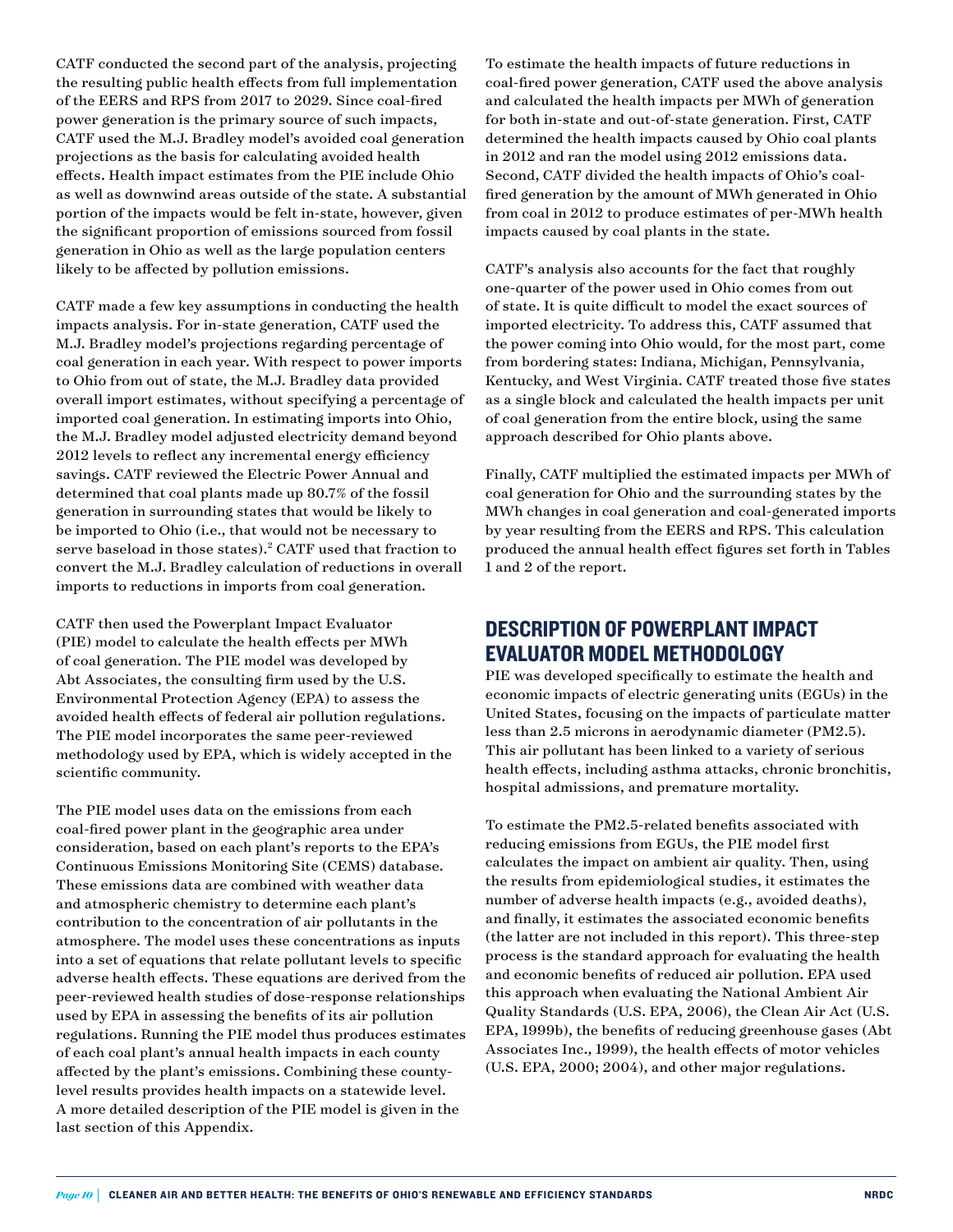CATF conducted the second part of the analysis, projecting the resulting public health effects from full implementation of the EERS and RPS from 2017 to 2029. Since coal-fired power generation is the primary source of such impacts, CATF used the M.J. Bradley model's avoided coal generation projections as the basis for calculating avoided health effects. Health impact estimates from the PIE include Ohio as well as downwind areas outside of the state. A substantial portion of the impacts would be felt in-state, however, given the significant proportion of emissions sourced from fossil generation in Ohio as well as the large population centers likely to be affected by pollution emissions.

CATF made a few key assumptions in conducting the health impacts analysis. For in-state generation, CATF used the M.J. Bradley model's projections regarding percentage of coal generation in each year. With respect to power imports to Ohio from out of state, the M.J. Bradley data provided overall import estimates, without specifying a percentage of imported coal generation. In estimating imports into Ohio, the M.J. Bradley model adjusted electricity demand beyond 2012 levels to reflect any incremental energy efficiency savings. CATF reviewed the Electric Power Annual and determined that coal plants made up 80.7% of the fossil generation in surrounding states that would be likely to be imported to Ohio (i.e., that would not be necessary to serve baseload in those states).2 CATF used that fraction to convert the M.J. Bradley calculation of reductions in overall imports to reductions in imports from coal generation.

CATF then used the Powerplant Impact Evaluator (PIE) model to calculate the health effects per MWh of coal generation. The PIE model was developed by Abt Associates, the consulting firm used by the U.S. Environmental Protection Agency (EPA) to assess the avoided health effects of federal air pollution regulations. The PIE model incorporates the same peer-reviewed methodology used by EPA, which is widely accepted in the scientific community.

The PIE model uses data on the emissions from each coal-fired power plant in the geographic area under consideration, based on each plant's reports to the EPA's Continuous Emissions Monitoring Site (CEMS) database. These emissions data are combined with weather data and atmospheric chemistry to determine each plant's contribution to the concentration of air pollutants in the atmosphere. The model uses these concentrations as inputs into a set of equations that relate pollutant levels to specific adverse health effects. These equations are derived from the peer-reviewed health studies of dose-response relationships used by EPA in assessing the benefits of its air pollution regulations. Running the PIE model thus produces estimates of each coal plant's annual health impacts in each county affected by the plant's emissions. Combining these countylevel results provides health impacts on a statewide level. A more detailed description of the PIE model is given in the last section of this Appendix.

To estimate the health impacts of future reductions in coal-fired power generation, CATF used the above analysis and calculated the health impacts per MWh of generation for both in-state and out-of-state generation. First, CATF determined the health impacts caused by Ohio coal plants in 2012 and ran the model using 2012 emissions data. Second, CATF divided the health impacts of Ohio's coalfired generation by the amount of MWh generated in Ohio from coal in 2012 to produce estimates of per-MWh health impacts caused by coal plants in the state.

CATF's analysis also accounts for the fact that roughly one-quarter of the power used in Ohio comes from out of state. It is quite difficult to model the exact sources of imported electricity. To address this, CATF assumed that the power coming into Ohio would, for the most part, come from bordering states: Indiana, Michigan, Pennsylvania, Kentucky, and West Virginia. CATF treated those five states as a single block and calculated the health impacts per unit of coal generation from the entire block, using the same approach described for Ohio plants above.

Finally, CATF multiplied the estimated impacts per MWh of coal generation for Ohio and the surrounding states by the MWh changes in coal generation and coal-generated imports by year resulting from the EERS and RPS. This calculation produced the annual health effect figures set forth in Tables 1 and 2 of the report.

### Description of Powerplant Impact Evaluator Model Methodology

PIE was developed specifically to estimate the health and economic impacts of electric generating units (EGUs) in the United States, focusing on the impacts of particulate matter less than 2.5 microns in aerodynamic diameter (PM2.5). This air pollutant has been linked to a variety of serious health effects, including asthma attacks, chronic bronchitis, hospital admissions, and premature mortality.

To estimate the PM2.5-related benefits associated with reducing emissions from EGUs, the PIE model first calculates the impact on ambient air quality. Then, using the results from epidemiological studies, it estimates the number of adverse health impacts (e.g., avoided deaths), and finally, it estimates the associated economic benefits (the latter are not included in this report). This three-step process is the standard approach for evaluating the health and economic benefits of reduced air pollution. EPA used this approach when evaluating the National Ambient Air Quality Standards (U.S. EPA, 2006), the Clean Air Act (U.S. EPA, 1999b), the benefits of reducing greenhouse gases (Abt Associates Inc., 1999), the health effects of motor vehicles (U.S. EPA, 2000; 2004), and other major regulations.